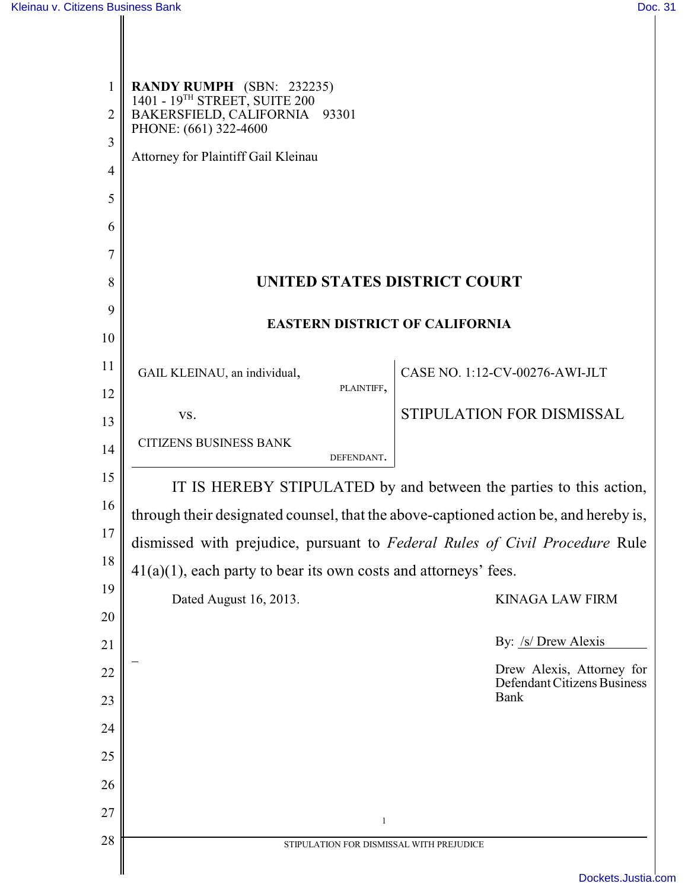| $\mathbf{1}$<br>$\overline{2}$ | <b>RANDY RUMPH</b> (SBN: 232235)<br>1401 - 19 <sup>TH</sup> STREET, SUITE 200<br>BAKERSFIELD, CALIFORNIA 93301<br>PHONE: (661) 322-4600 |  |  |
|--------------------------------|-----------------------------------------------------------------------------------------------------------------------------------------|--|--|
| 3<br>$\overline{4}$            | Attorney for Plaintiff Gail Kleinau                                                                                                     |  |  |
| 5                              |                                                                                                                                         |  |  |
| 6                              |                                                                                                                                         |  |  |
| 7                              |                                                                                                                                         |  |  |
| 8                              | UNITED STATES DISTRICT COURT                                                                                                            |  |  |
| 9                              | <b>EASTERN DISTRICT OF CALIFORNIA</b>                                                                                                   |  |  |
| 10                             |                                                                                                                                         |  |  |
| 11                             | CASE NO. 1:12-CV-00276-AWI-JLT<br>GAIL KLEINAU, an individual,                                                                          |  |  |
| 12                             | PLAINTIFF,<br>STIPULATION FOR DISMISSAL<br>VS.                                                                                          |  |  |
| 13<br>14                       | <b>CITIZENS BUSINESS BANK</b>                                                                                                           |  |  |
|                                | DEFENDANT.                                                                                                                              |  |  |
| 15                             | IT IS HEREBY STIPULATED by and between the parties to this action,                                                                      |  |  |
| 16                             | through their designated counsel, that the above-captioned action be, and hereby is,                                                    |  |  |
| 17                             | dismissed with prejudice, pursuant to Federal Rules of Civil Procedure Rule                                                             |  |  |
| 18                             | $41(a)(1)$ , each party to bear its own costs and attorneys' fees.                                                                      |  |  |
| 19<br>20                       | Dated August 16, 2013.<br><b>KINAGA LAW FIRM</b>                                                                                        |  |  |
| 21                             | By: /s/ Drew Alexis                                                                                                                     |  |  |
| 22                             | Drew Alexis, Attorney for                                                                                                               |  |  |
| 23                             | Defendant Citizens Business<br><b>Bank</b>                                                                                              |  |  |
| 24                             |                                                                                                                                         |  |  |
| 25                             |                                                                                                                                         |  |  |
| 26                             |                                                                                                                                         |  |  |
| 27                             |                                                                                                                                         |  |  |
| 28                             | 1<br>STIPULATION FOR DISMISSAL WITH PREJUDICE                                                                                           |  |  |
|                                | بنفوريات                                                                                                                                |  |  |